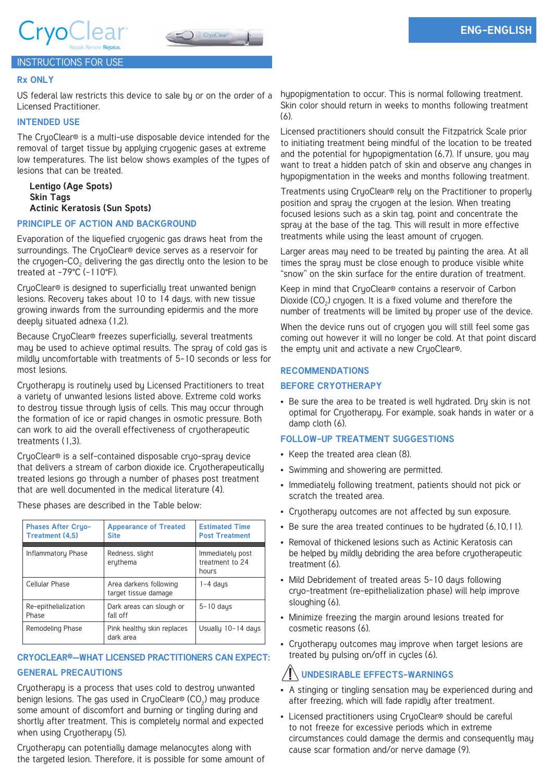



## **Rx ONLY**

US federal law restricts this device to sale by or on the order of a Licensed Practitioner.

## **INTENDED USE**

The CryoClear® is a multi-use disposable device intended for the removal of target tissue by applying cryogenic gases at extreme low temperatures. The list below shows examples of the types of lesions that can be treated.

## **Lentigo (Age Spots) Skin Tags Actinic Keratosis (Sun Spots)**

## **PRINCIPLE OF ACTION AND BACKGROUND**

Evaporation of the liquefied cryogenic gas draws heat from the surroundings. The CryoClear® device serves as a reservoir for the cryogen- $CO<sub>2</sub>$  delivering the gas directly onto the lesion to be treated at -79°C (-110°F).

CryoClear® is designed to superficially treat unwanted benign lesions. Recovery takes about 10 to 14 days, with new tissue growing inwards from the surrounding epidermis and the more deeply situated adnexa (1,2).

Because CryoClear® freezes superficially, several treatments may be used to achieve optimal results. The spray of cold gas is mildly uncomfortable with treatments of 5-10 seconds or less for most lesions.

Cryotherapy is routinely used by Licensed Practitioners to treat a variety of unwanted lesions listed above. Extreme cold works to destroy tissue through lysis of cells. This may occur through the formation of ice or rapid changes in osmotic pressure. Both can work to aid the overall effectiveness of cryotherapeutic treatments (1,3).

CryoClear® is a self-contained disposable cryo-spray device that delivers a stream of carbon dioxide ice. Cryotherapeutically treated lesions go through a number of phases post treatment that are well documented in the medical literature (4).

| <b>Phases After Cryo-</b><br><b>Treatment (4.5)</b> | <b>Appearance of Treated</b><br><b>Site</b>    | <b>Estimated Time</b><br><b>Post Treatment</b> |
|-----------------------------------------------------|------------------------------------------------|------------------------------------------------|
| Inflammatory Phase                                  | Redness, slight<br>eruthema                    | Immediately post<br>treatment to 24<br>hours   |
| Cellular Phase                                      | Area darkens following<br>target tissue damage | $1 - 4$ days                                   |
| Re-epithelialization<br>Phase                       | Dark areas can slough or<br>fall off           | $5 - 10$ days                                  |
| Remodeling Phase                                    | Pink healthy skin replaces<br>dark area        | Usually 10-14 days                             |

These phases are described in the Table below:

## **CRYOCLEAR®—WHAT LICENSED PRACTITIONERS CAN EXPECT:**

## **GENERAL PRECAUTIONS**

Cryotherapy is a process that uses cold to destroy unwanted benign lesions. The gas used in CryoClear® (CO $_2$ ) may produce some amount of discomfort and burning or tingling during and shortly after treatment. This is completely normal and expected when using Cryotherapy (5).

Cryotherapy can potentially damage melanocytes along with the targeted lesion. Therefore, it is possible for some amount of hypopigmentation to occur. This is normal following treatment. Skin color should return in weeks to months following treatment (6).

Licensed practitioners should consult the Fitzpatrick Scale prior to initiating treatment being mindful of the location to be treated and the potential for hypopigmentation (6,7). If unsure, you may want to treat a hidden patch of skin and observe any changes in hypopigmentation in the weeks and months following treatment.

Treatments using CryoClear® rely on the Practitioner to properly position and spray the cryogen at the lesion. When treating focused lesions such as a skin tag, point and concentrate the spray at the base of the tag. This will result in more effective treatments while using the least amount of cryogen.

Larger areas may need to be treated by painting the area. At all times the spray must be close enough to produce visible white "snow" on the skin surface for the entire duration of treatment.

Keep in mind that CryoClear® contains a reservoir of Carbon Dioxide  $(CO<sub>2</sub>)$  cryogen. It is a fixed volume and therefore the number of treatments will be limited by proper use of the device.

When the device runs out of cryogen you will still feel some gas coming out however it will no longer be cold. At that point discard the empty unit and activate a new CryoClear®.

## **RECOMMENDATIONS**

## **BEFORE CRYOTHERAPY**

• Be sure the area to be treated is well hydrated. Dry skin is not optimal for Cryotherapy. For example, soak hands in water or a damp cloth (6).

## **FOLLOW-UP TREATMENT SUGGESTIONS**

- Keep the treated area clean (8).
- Swimming and showering are permitted.
- Immediately following treatment, patients should not pick or scratch the treated area.
- Cryotherapy outcomes are not affected by sun exposure.
- Be sure the area treated continues to be hydrated (6,10,11).
- Removal of thickened lesions such as Actinic Keratosis can be helped by mildly debriding the area before cryotherapeutic treatment (6).
- Mild Debridement of treated areas 5-10 days following cryo-treatment (re-epithelialization phase) will help improve sloughing (6).
- Minimize freezing the margin around lesions treated for cosmetic reasons (6).
- Cryotherapy outcomes may improve when target lesions are treated by pulsing on/off in cycles (6).

# **UNDESIRABLE EFFECTS-WARNINGS**

- A stinging or tingling sensation may be experienced during and after freezing, which will fade rapidly after treatment.
- Licensed practitioners using CryoClear® should be careful to not freeze for excessive periods which in extreme circumstances could damage the dermis and consequently may cause scar formation and/or nerve damage (9).